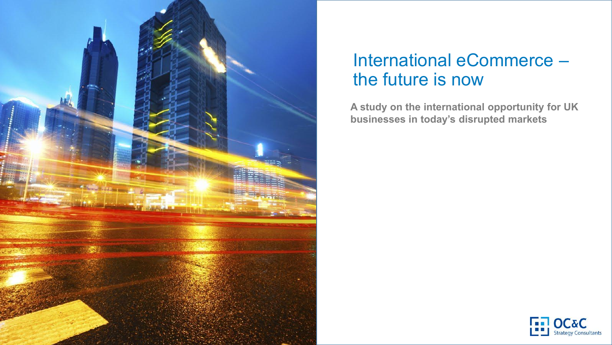

### International eCommerce – the future is now

**A study on the international opportunity for UK businesses in today's disrupted markets** 

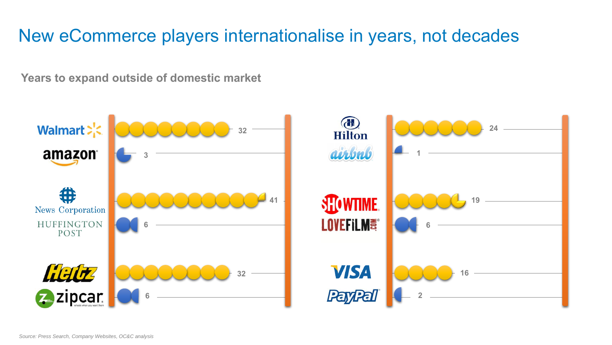## New eCommerce players internationalise in years, not decades

**Years to expand outside of domestic market** 

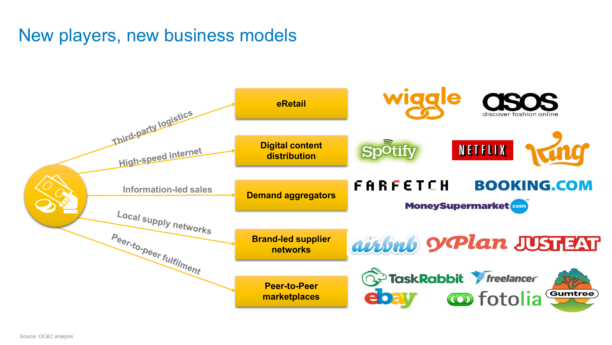#### New players, new business models

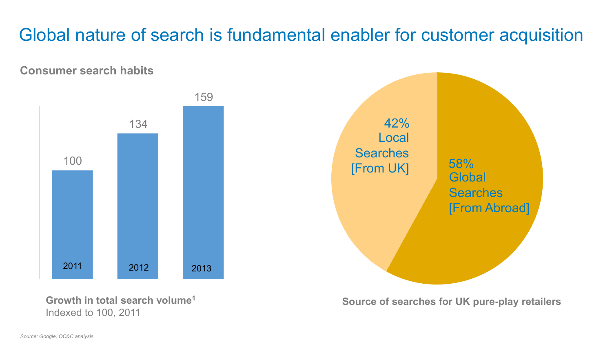## Global nature of search is fundamental enabler for customer acquisition

**Consumer search habits** 





**Growth in total search volume<sup>1</sup>** Indexed to 100, 2011

**Source of searches for UK pure-play retailers**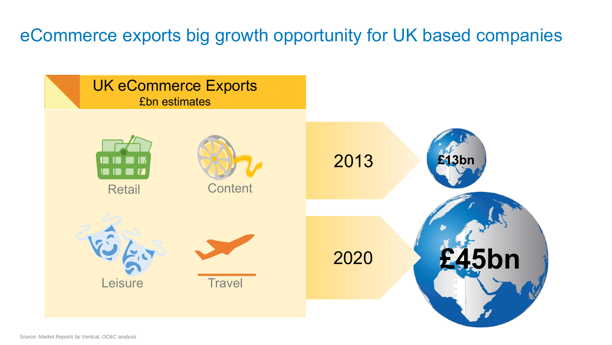eCommerce exports big growth opportunity for UK based companies

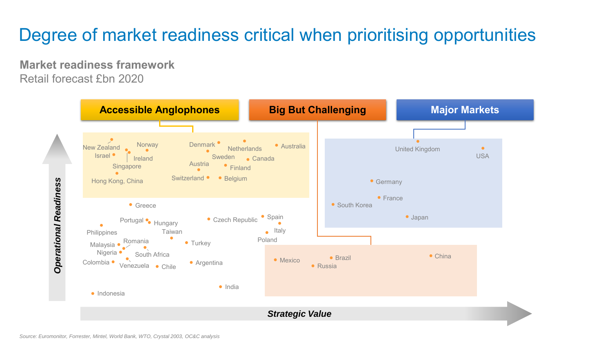# Degree of market readiness critical when prioritising opportunities

**Market readiness framework**  Retail forecast £bn 2020

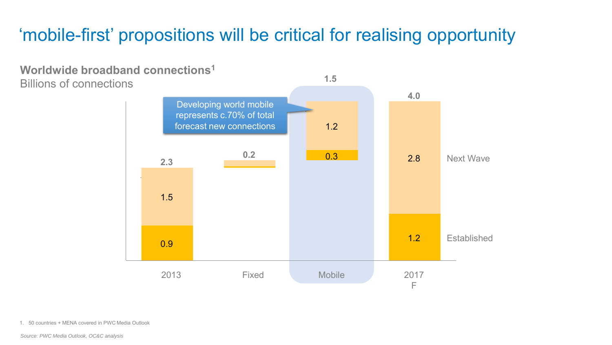# 'mobile-first' propositions will be critical for realising opportunity



**Worldwide broadband connections<sup>1</sup>** Billions of connections

1. 50 countries + MENA covered in PWC Media Outlook

*Source: PWC Media Outlook, OC&C analysis*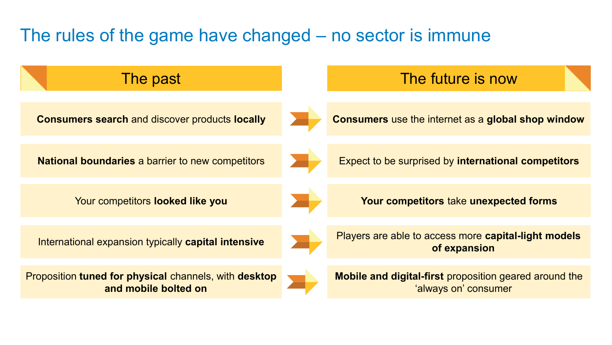## The rules of the game have changed – no sector is immune